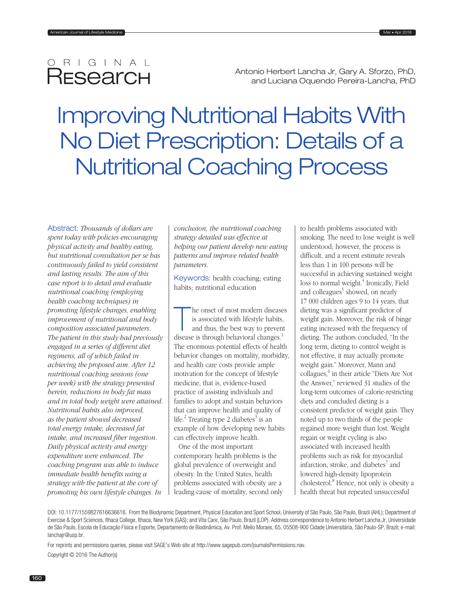# ORIGINAL **RESearch**

Antonio Herbert Lancha Jr, Gary A. Sforzo, PhD, and Luciana Oquendo Pereira-Lancha, PhD

# Improving Nutritional Habits With No Diet Prescription: Details of a Nutritional Coaching Process

Abstract: *Thousands of dollars are spent today with policies encouraging physical activity and healthy eating, but nutritional consultation per se has continuously failed to yield consistent and lasting results. The aim of this case report is to detail and evaluate nutritional coaching (employing health coaching techniques) in promoting lifestyle changes, enabling improvement of nutritional and body composition associated parameters. The patient in this study had previously engaged in a series of different diet regimens, all of which failed in achieving the proposed aim. After 12 nutritional coaching sessions (one per week) with the strategy presented herein, reductions in body fat mass and in total body weight were attained. Nutritional habits also improved, as the patient showed decreased total energy intake, decreased fat intake, and increased fiber ingestion. Daily physical activity and energy expenditure were enhanced. The coaching program was able to induce immediate health benefits using a strategy with the patient at the core of promoting his own lifestyle changes. In* 

*conclusion, the nutritional coaching strategy detailed was effective at helping our patient develop new eating patterns and improve related health parameters.*

Keywords: health coaching; eating habits; nutritional education

The onset of most modern diseases<br>
is associated with lifestyle habits,<br>
and thus, the best way to prevent is associated with lifestyle habits, disease is through behavioral changes. $<sup>1</sup>$ </sup> The enormous potential effects of health behavior changes on mortality, morbidity, and health care costs provide ample motivation for the concept of lifestyle medicine, that is, evidence-based practice of assisting individuals and families to adopt and sustain behaviors that can improve health and quality of life.<sup>2</sup> Treating type 2 diabetes<sup>3</sup> is an example of how developing new habits can effectively improve health.

One of the most important contemporary health problems is the global prevalence of overweight and obesity. In the United States, health problems associated with obesity are a leading cause of mortality, second only

to health problems associated with smoking. The need to lose weight is well understood; however, the process is difficult, and a recent estimate reveals less than 1 in 100 persons will be successful in achieving sustained weight loss to normal weight.<sup>4</sup> Ironically, Field and colleagues<sup>5</sup> showed, on nearly 17 000 children ages 9 to 14 years, that dieting was a significant predictor of weight gain. Moreover, the risk of binge eating increased with the frequency of dieting. The authors concluded, "In the long term, dieting to control weight is not effective, it may actually promote weight gain." Moreover, Mann and collagues,<sup>6</sup> in their article "Diets Are Not the Answer," reviewed 31 studies of the long-term outcomes of calorie-restricting diets and concluded dieting is a consistent predictor of weight gain. They noted up to two thirds of the people regained more weight than lost. Weight regain or weight cycling is also associated with increased health problems such as risk for myocardial infarction, stroke, and diabetes<sup>7</sup> and lowered high-density lipoprotein cholesterol.<sup>8</sup> Hence, not only is obesity a health threat but repeated unsuccessful

DOI: [10.1177/1559827616636616.](https://doi.org/10.1177/1559827616636616) From the Biodynamic Department, Physical Education and Sport School, University of São Paulo, São Paulo, Brazil (AHL); Department of Exercise & Sport Sciences, Ithaca College, Ithaca, New York (GAS); and Vita Care, São Paulo, Brazil (LOP). Address correspondence to Antonio Herbert Lancha Jr, Universidade de São Paulo, Escola de Educação Física e Esporte, Departamento de Biodinâmica, Av. Prof. Mello Moraes, 65, 05508-900 Cidade Universitária, São Paulo-SP, Brazil; e-mail: [lanchajr@usp.br.](mailto:lanchajr@usp.br)

For reprints and permissions queries, please visit SAGE's Web site at [http://www.sagepub.com/journalsPermissions.nav.](http://www.sagepub.com/journalsPermissions.nav) Copyright © 2016 The Author(s)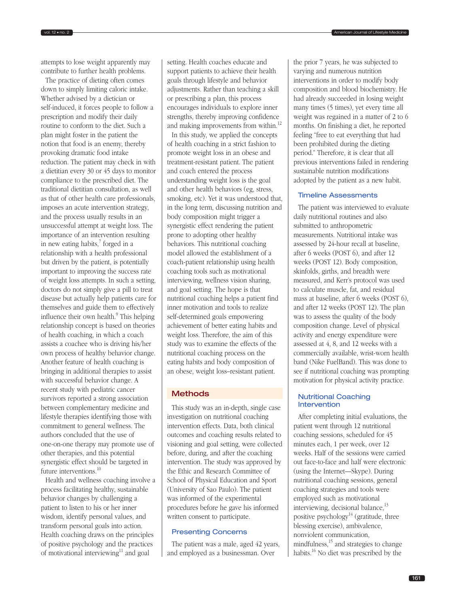attempts to lose weight apparently may contribute to further health problems.

The practice of dieting often comes down to simply limiting caloric intake. Whether advised by a dietician or self-induced, it forces people to follow a prescription and modify their daily routine to conform to the diet. Such a plan might foster in the patient the notion that food is an enemy, thereby provoking dramatic food intake reduction. The patient may check in with a dietitian every 30 or 45 days to monitor compliance to the prescribed diet. The traditional dietitian consultation, as well as that of other health care professionals, imposes an acute intervention strategy, and the process usually results in an unsuccessful attempt at weight loss. The importance of an intervention resulting in new eating habits, $\frac{7}{1}$  forged in a relationship with a health professional but driven by the patient, is potentially important to improving the success rate of weight loss attempts. In such a setting, doctors do not simply give a pill to treat disease but actually help patients care for themselves and guide them to effectively influence their own health. $\frac{9}{1}$  This helping relationship concept is based on theories of health coaching, in which a coach assists a coachee who is driving his/her own process of healthy behavior change. Another feature of health coaching is bringing in additional therapies to assist with successful behavior change. A recent study with pediatric cancer survivors reported a strong association between complementary medicine and lifestyle therapies identifying those with commitment to general wellness. The authors concluded that the use of one-on-one therapy may promote use of other therapies, and this potential synergistic effect should be targeted in future interventions.<sup>10</sup>

Health and wellness coaching involve a process facilitating healthy, sustainable behavior changes by challenging a patient to listen to his or her inner wisdom, identify personal values, and transform personal goals into action. Health coaching draws on the principles of positive psychology and the practices of motivational interviewing $11$  and goal

setting. Health coaches educate and support patients to achieve their health goals through lifestyle and behavior adjustments. Rather than teaching a skill or prescribing a plan, this process encourages individuals to explore inner strengths, thereby improving confidence and making improvements from within.<sup>12</sup>

In this study, we applied the concepts of health coaching in a strict fashion to promote weight loss in an obese and treatment-resistant patient. The patient and coach entered the process understanding weight loss is the goal and other health behaviors (eg, stress, smoking, etc). Yet it was understood that, in the long term, discussing nutrition and body composition might trigger a synergistic effect rendering the patient prone to adopting other healthy behaviors. This nutritional coaching model allowed the establishment of a coach-patient relationship using health coaching tools such as motivational interviewing, wellness vision sharing, and goal setting. The hope is that nutritional coaching helps a patient find inner motivation and tools to realize self-determined goals empowering achievement of better eating habits and weight loss. Therefore, the aim of this study was to examine the effects of the nutritional coaching process on the eating habits and body composition of an obese, weight loss–resistant patient.

# **Methods**

This study was an in-depth, single case investigation on nutritional coaching intervention effects. Data, both clinical outcomes and coaching results related to visioning and goal setting, were collected before, during, and after the coaching intervention. The study was approved by the Ethic and Research Committee of School of Physical Education and Sport (University of Sao Paulo). The patient was informed of the experimental procedures before he gave his informed written consent to participate.

#### Presenting Concerns

The patient was a male, aged 42 years, and employed as a businessman. Over

the prior 7 years, he was subjected to varying and numerous nutrition interventions in order to modify body composition and blood biochemistry. He had already succeeded in losing weight many times (5 times), yet every time all weight was regained in a matter of 2 to 6 months. On finishing a diet, he reported feeling "free to eat everything that had been prohibited during the dieting period." Therefore, it is clear that all previous interventions failed in rendering sustainable nutrition modifications adopted by the patient as a new habit.

#### Timeline Assessments

The patient was interviewed to evaluate daily nutritional routines and also submitted to anthropometric measurements. Nutritional intake was assessed by 24-hour recall at baseline, after 6 weeks (POST 6), and after 12 weeks (POST 12). Body composition, skinfolds, girths, and breadth were measured, and Kerr's protocol was used to calculate muscle, fat, and residual mass at baseline, after 6 weeks (POST 6), and after 12 weeks (POST 12). The plan was to assess the quality of the body composition change. Level of physical activity and energy expenditure were assessed at 4, 8, and 12 weeks with a commercially available, wrist-worn health band (Nike FuelBand). This was done to see if nutritional coaching was prompting motivation for physical activity practice.

#### Nutritional Coaching Intervention

After completing initial evaluations, the patient went through 12 nutritional coaching sessions, scheduled for 45 minutes each, 1 per week, over 12 weeks. Half of the sessions were carried out face-to-face and half were electronic (using the Internet—Skype). During nutritional coaching sessions, general coaching strategies and tools were employed such as motivational interviewing, decisional balance,<sup>13</sup> positive psychology<sup>14</sup> (gratitude, three blessing exercise), ambivalence, nonviolent communication, mindfulness,<sup>15</sup> and strategies to change habits.16 No diet was prescribed by the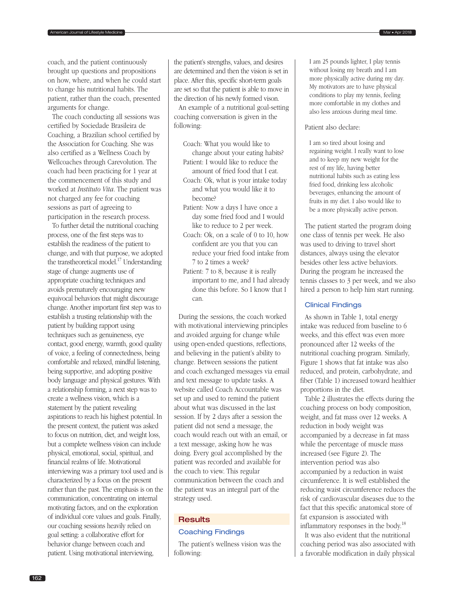coach, and the patient continuously brought up questions and propositions on how, where, and when he could start to change his nutritional habits. The patient, rather than the coach, presented arguments for change.

The coach conducting all sessions was certified by Sociedade Brasileira de Coaching, a Brazilian school certified by the Association for Coaching. She was also certified as a Wellness Coach by Wellcoaches through Carevolution. The coach had been practicing for 1 year at the commencement of this study and worked at *Instituto Vita*. The patient was not charged any fee for coaching sessions as part of agreeing to participation in the research process.

To further detail the nutritional coaching process, one of the first steps was to establish the readiness of the patient to change, and with that purpose, we adopted the transtheoretical model.<sup>17</sup> Understanding stage of change augments use of appropriate coaching techniques and avoids prematurely encouraging new equivocal behaviors that might discourage change. Another important first step was to establish a trusting relationship with the patient by building rapport using techniques such as genuineness, eye contact, good energy, warmth, good quality of voice, a feeling of connectedness, being comfortable and relaxed, mindful listening, being supportive, and adopting positive body language and physical gestures. With a relationship forming, a next step was to create a wellness vision, which is a statement by the patient revealing aspirations to reach his highest potential. In the present context, the patient was asked to focus on nutrition, diet, and weight loss, but a complete wellness vision can include physical, emotional, social, spiritual, and financial realms of life. Motivational interviewing was a primary tool used and is characterized by a focus on the present rather than the past. The emphasis is on the communication, concentrating on internal motivating factors, and on the exploration of individual core values and goals. Finally, our coaching sessions heavily relied on goal setting: a collaborative effort for behavior change between coach and patient. Using motivational interviewing,

the patient's strengths, values, and desires are determined and then the vision is set in place. After this, specific short-term goals are set so that the patient is able to move in the direction of his newly formed vison.

An example of a nutritional goal-setting coaching conversation is given in the following:

Coach: What you would like to change about your eating habits? Patient: I would like to reduce the

amount of fried food that I eat. Coach: Ok, what is your intake today and what you would like it to

become? Patient: Now a days I have once a

day some fried food and I would like to reduce to 2 per week.

- Coach: Ok, on a scale of 0 to 10, how confident are you that you can reduce your fried food intake from 7 to 2 times a week?
- Patient: 7 to 8, because it is really important to me, and I had already done this before. So I know that I can.

During the sessions, the coach worked with motivational interviewing principles and avoided arguing for change while using open-ended questions, reflections, and believing in the patient's ability to change. Between sessions the patient and coach exchanged messages via email and text message to update tasks. A website called Coach Accountable was set up and used to remind the patient about what was discussed in the last session. If by 2 days after a session the patient did not send a message, the coach would reach out with an email, or a text message, asking how he was doing. Every goal accomplished by the patient was recorded and available for the coach to view. This regular communication between the coach and the patient was an integral part of the strategy used.

# **Results**

#### Coaching Findings

The patient's wellness vision was the following:

I am 25 pounds lighter, I play tennis without losing my breath and I am more physically active during my day. My motivators are to have physical conditions to play my tennis, feeling more comfortable in my clothes and also less anxious during meal time.

#### Patient also declare:

I am so tired about losing and regaining weight. I really want to lose and to keep my new weight for the rest of my life, having better nutritional habits such as eating less fried food, drinking less alcoholic beverages, enhancing the amount of fruits in my diet. I also would like to be a more physically active person.

The patient started the program doing one class of tennis per week. He also was used to driving to travel short distances, always using the elevator besides other less active behaviors. During the program he increased the tennis classes to 3 per week, and we also hired a person to help him start running.

#### Clinical Findings

As shown in Table 1, total energy intake was reduced from baseline to 6 weeks, and this effect was even more pronounced after 12 weeks of the nutritional coaching program. Similarly, Figure 1 shows that fat intake was also reduced, and protein, carbohydrate, and fiber (Table 1) increased toward healthier proportions in the diet.

Table 2 illustrates the effects during the coaching process on body composition, weight, and fat mass over 12 weeks. A reduction in body weight was accompanied by a decrease in fat mass while the percentage of muscle mass increased (see Figure 2). The intervention period was also accompanied by a reduction in waist circumference. It is well established the reducing waist circumference reduces the risk of cardiovascular diseases due to the fact that this specific anatomical store of fat expansion is associated with inflammatory responses in the body.18

It was also evident that the nutritional coaching period was also associated with a favorable modification in daily physical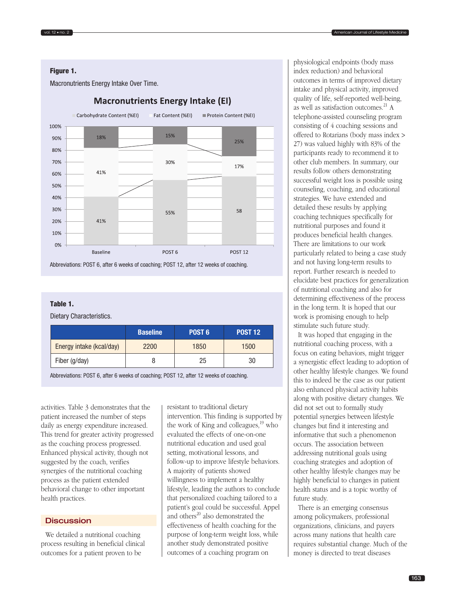#### Figure 1.

Macronutrients Energy Intake Over Time.



#### Table 1.

Dietary Characteristics.

|                          | <b>Baseline</b> | POST <sub>6</sub> | <b>POST 12</b> |
|--------------------------|-----------------|-------------------|----------------|
| Energy intake (kcal/day) | 2200            | 1850              | 1500           |
| Fiber (g/day)            |                 | 25                | 30             |

Abbreviations: POST 6, after 6 weeks of coaching; POST 12, after 12 weeks of coaching.

activities. Table 3 demonstrates that the patient increased the number of steps daily as energy expenditure increased. This trend for greater activity progressed as the coaching process progressed. Enhanced physical activity, though not suggested by the coach, verifies synergies of the nutritional coaching process as the patient extended behavioral change to other important health practices.

# **Discussion**

We detailed a nutritional coaching process resulting in beneficial clinical outcomes for a patient proven to be

resistant to traditional dietary intervention. This finding is supported by the work of King and colleagues, $^{19}$  who evaluated the effects of one-on-one nutritional education and used goal setting, motivational lessons, and follow-up to improve lifestyle behaviors. A majority of patients showed willingness to implement a healthy lifestyle, leading the authors to conclude that personalized coaching tailored to a patient's goal could be successful. Appel and others $^{20}$  also demonstrated the effectiveness of health coaching for the purpose of long-term weight loss, while another study demonstrated positive outcomes of a coaching program on

physiological endpoints (body mass index reduction) and behavioral outcomes in terms of improved dietary intake and physical activity, improved quality of life, self-reported well-being, as well as satisfaction outcomes.<sup>21</sup> A telephone-assisted counseling program consisting of 4 coaching sessions and offered to Rotarians (body mass index > 27) was valued highly with 83% of the participants ready to recommend it to other club members. In summary, our results follow others demonstrating successful weight loss is possible using counseling, coaching, and educational strategies. We have extended and detailed these results by applying coaching techniques specifically for nutritional purposes and found it produces beneficial health changes. There are limitations to our work particularly related to being a case study and not having long-term results to report. Further research is needed to elucidate best practices for generalization of nutritional coaching and also for determining effectiveness of the process in the long term. It is hoped that our work is promising enough to help stimulate such future study.

It was hoped that engaging in the nutritional coaching process, with a focus on eating behaviors, might trigger a synergistic effect leading to adoption of other healthy lifestyle changes. We found this to indeed be the case as our patient also enhanced physical activity habits along with positive dietary changes. We did not set out to formally study potential synergies between lifestyle changes but find it interesting and informative that such a phenomenon occurs. The association between addressing nutritional goals using coaching strategies and adoption of other healthy lifestyle changes may be highly beneficial to changes in patient health status and is a topic worthy of future study.

There is an emerging consensus among policymakers, professional organizations, clinicians, and payers across many nations that health care requires substantial change. Much of the money is directed to treat diseases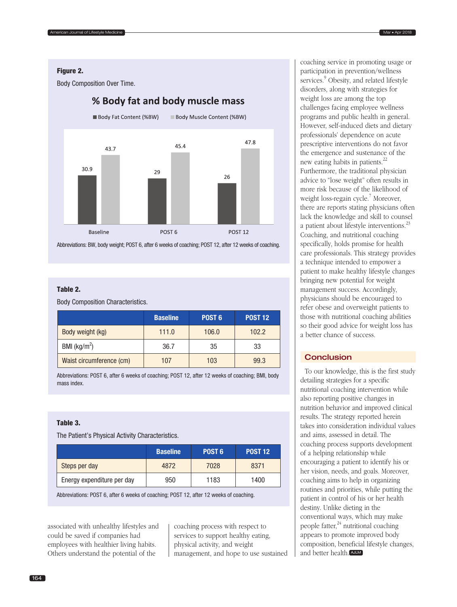#### Figure 2.

Body Composition Over Time.

# % Body fat and body muscle mass



Abbreviations: BW, body weight; POST 6, after 6 weeks of coaching; POST 12, after 12 weeks of coaching.

#### Table 2.

Body Composition Characteristics.

|                          | <b>Baseline</b> | POST <sub>6</sub> | <b>POST 12</b> |
|--------------------------|-----------------|-------------------|----------------|
| Body weight (kg)         | 111.0           | 106.0             | 102.2          |
| BMI ( $\text{kg/m}^2$ )  | 36.7            | 35                | 33             |
| Waist circumference (cm) | 107             | 103               | 99.3           |

Abbreviations: POST 6, after 6 weeks of coaching; POST 12, after 12 weeks of coaching; BMI, body mass index.

#### Table 3.

The Patient's Physical Activity Characteristics.

|                            | <b>Baseline</b> | POST <sub>6</sub> | <b>POST 12</b> |
|----------------------------|-----------------|-------------------|----------------|
| Steps per day              | 4872            | 7028              | 8371           |
| Energy expenditure per day | 950             | 1183              | 1400           |

Abbreviations: POST 6, after 6 weeks of coaching; POST 12, after 12 weeks of coaching.

associated with unhealthy lifestyles and could be saved if companies had employees with healthier living habits. Others understand the potential of the

coaching process with respect to services to support healthy eating, physical activity, and weight management, and hope to use sustained coaching service in promoting usage or participation in prevention/wellness services.<sup>9</sup> Obesity, and related lifestyle disorders, along with strategies for weight loss are among the top challenges facing employee wellness programs and public health in general. However, self-induced diets and dietary professionals' dependence on acute prescriptive interventions do not favor the emergence and sustenance of the new eating habits in patients.<sup>22</sup> Furthermore, the traditional physician advice to "lose weight" often results in more risk because of the likelihood of weight loss-regain cycle.<sup>7</sup> Moreover, there are reports stating physicians often lack the knowledge and skill to counsel a patient about lifestyle interventions.<sup>23</sup> Coaching, and nutritional coaching specifically, holds promise for health care professionals. This strategy provides a technique intended to empower a patient to make healthy lifestyle changes bringing new potential for weight management success. Accordingly, physicians should be encouraged to refer obese and overweight patients to those with nutritional coaching abilities so their good advice for weight loss has a better chance of success.

### **Conclusion**

To our knowledge, this is the first study detailing strategies for a specific nutritional coaching intervention while also reporting positive changes in nutrition behavior and improved clinical results. The strategy reported herein takes into consideration individual values and aims, assessed in detail. The coaching process supports development of a helping relationship while encouraging a patient to identify his or her vision, needs, and goals. Moreover, coaching aims to help in organizing routines and priorities, while putting the patient in control of his or her health destiny. Unlike dieting in the conventional ways, which may make people fatter, $^{24}$  nutritional coaching appears to promote improved body composition, beneficial lifestyle changes, and better health. AJLM